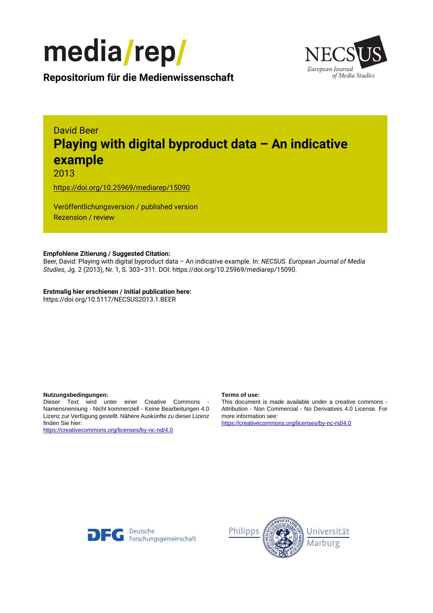



**Repositorium für die [Medienwissenschaft](https://mediarep.org)**

# David Beer **Playing with digital byproduct data – An indicative example**

2013

<https://doi.org/10.25969/mediarep/15090>

Veröffentlichungsversion / published version Rezension / review

#### **Empfohlene Zitierung / Suggested Citation:**

Beer, David: Playing with digital byproduct data – An indicative example. In: *NECSUS. European Journal of Media Studies*, Jg. 2 (2013), Nr. 1, S. 303–311. DOI: https://doi.org/10.25969/mediarep/15090.

**Erstmalig hier erschienen / Initial publication here:** https://doi.org/10.5117/NECSUS2013.1.BEER

#### **Nutzungsbedingungen: Terms of use:**

Dieser Text wird unter einer Creative Commons - Namensnennung - Nicht kommerziell - Keine Bearbeitungen 4.0 Lizenz zur Verfügung gestellt. Nähere Auskünfte zu dieser Lizenz finden Sie hier:

<https://creativecommons.org/licenses/by-nc-nd/4.0>

This document is made available under a creative commons - Attribution - Non Commercial - No Derivatives 4.0 License. For more information see:

<https://creativecommons.org/licenses/by-nc-nd/4.0>



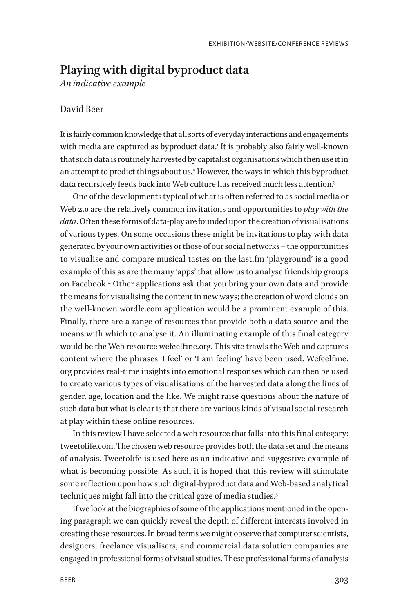## **Playing with digital byproduct data**

*An indicative example*

### David Beer

It is fairly common knowledge that all sorts of everyday interactions and engagements with media are captured as byproduct data.1 It is probably also fairly well-known that such data is routinely harvested by capitalist organisations which then use it in an attempt to predict things about us.2 However, the ways in which this byproduct data recursively feeds back into Web culture has received much less attention.<sup>3</sup>

One of the developments typical of what is often referred to as social media or Web 2.0 are the relatively common invitations and opportunities to *play with the data*. Often these forms of data-play are founded upon the creation of visualisations of various types. On some occasions these might be invitations to play with data generated by your own activities or those of our social networks – the opportunities to visualise and compare musical tastes on the last.fm 'playground' is a good example of this as are the many 'apps' that allow us to analyse friendship groups on Facebook.4 Other applications ask that you bring your own data and provide the means for visualising the content in new ways; the creation of word clouds on the well-known wordle.com application would be a prominent example of this. Finally, there are a range of resources that provide both a data source and the means with which to analyse it. An illuminating example of this final category would be the Web resource wefeelfine.org. This site trawls the Web and captures content where the phrases 'I feel' or 'I am feeling' have been used. Wefeelfine. org provides real-time insights into emotional responses which can then be used to create various types of visualisations of the harvested data along the lines of gender, age, location and the like. We might raise questions about the nature of such data but what is clear is that there are various kinds of visual social research at play within these online resources.

In this review I have selected a web resource that falls into this final category: tweetolife.com. The chosen web resource provides both the data set and the means of analysis. Tweetolife is used here as an indicative and suggestive example of what is becoming possible. As such it is hoped that this review will stimulate some reflection upon how such digital-byproduct data and Web-based analytical techniques might fall into the critical gaze of media studies.<sup>5</sup>

If we look at the biographies of some of the applications mentioned in the opening paragraph we can quickly reveal the depth of different interests involved in creating these resources. In broad terms we might observe that computer scientists, designers, freelance visualisers, and commercial data solution companies are engaged in professional forms of visual studies. These professional forms of analysis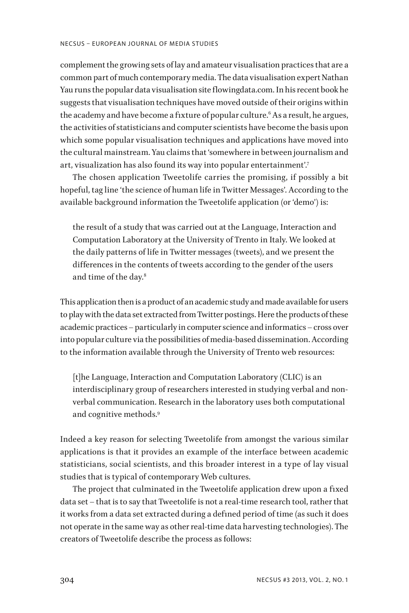complement the growing sets of lay and amateur visualisation practices that are a common part of much contemporary media. The data visualisation expert Nathan Yau runs the popular data visualisation site flowingdata.com. In his recent book he suggests that visualisation techniques have moved outside of their origins within the academy and have become a fixture of popular culture.6 As a result, he argues, the activities of statisticians and computer scientists have become the basis upon which some popular visualisation techniques and applications have moved into the cultural mainstream. Yau claims that 'somewhere in between journalism and art, visualization has also found its way into popular entertainment'.7

The chosen application Tweetolife carries the promising, if possibly a bit hopeful, tag line 'the science of human life in Twitter Messages'. According to the available background information the Tweetolife application (or 'demo') is:

the result of a study that was carried out at the Language, Interaction and Computation Laboratory at the University of Trento in Italy. We looked at the daily patterns of life in Twitter messages (tweets), and we present the differences in the contents of tweets according to the gender of the users and time of the day.8

This application then is a product of an academic study and made available for users to play with the data set extracted from Twitter postings. Here the products of these academic practices – particularly in computer science and informatics – cross over into popular culture via the possibilities of media-based dissemination. According to the information available through the University of Trento web resources:

[t]he Language, Interaction and Computation Laboratory (CLIC) is an interdisciplinary group of researchers interested in studying verbal and nonverbal communication. Research in the laboratory uses both computational and cognitive methods.9

Indeed a key reason for selecting Tweetolife from amongst the various similar applications is that it provides an example of the interface between academic statisticians, social scientists, and this broader interest in a type of lay visual studies that is typical of contemporary Web cultures.

The project that culminated in the Tweetolife application drew upon a fixed data set – that is to say that Tweetolife is not a real-time research tool, rather that it works from a data set extracted during a defined period of time (as such it does not operate in the same way as other real-time data harvesting technologies). The creators of Tweetolife describe the process as follows: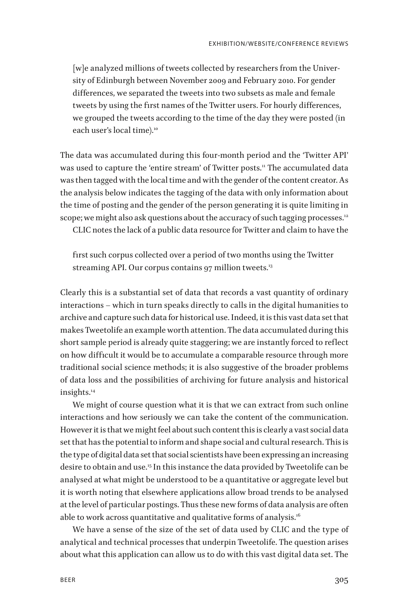[w]e analyzed millions of tweets collected by researchers from the University of Edinburgh between November 2009 and February 2010. For gender differences, we separated the tweets into two subsets as male and female tweets by using the first names of the Twitter users. For hourly differences, we grouped the tweets according to the time of the day they were posted (in each user's local time).<sup>10</sup>

The data was accumulated during this four-month period and the 'Twitter API' was used to capture the 'entire stream' of Twitter posts.<sup>11</sup> The accumulated data was then tagged with the local time and with the gender of the content creator. As the analysis below indicates the tagging of the data with only information about the time of posting and the gender of the person generating it is quite limiting in scope; we might also ask questions about the accuracy of such tagging processes.<sup>12</sup>

CLIC notes the lack of a public data resource for Twitter and claim to have the

first such corpus collected over a period of two months using the Twitter streaming API. Our corpus contains 97 million tweets.<sup>13</sup>

Clearly this is a substantial set of data that records a vast quantity of ordinary interactions – which in turn speaks directly to calls in the digital humanities to archive and capture such data for historical use. Indeed, it is this vast data set that makes Tweetolife an example worth attention. The data accumulated during this short sample period is already quite staggering; we are instantly forced to reflect on how difficult it would be to accumulate a comparable resource through more traditional social science methods; it is also suggestive of the broader problems of data loss and the possibilities of archiving for future analysis and historical insights.14

We might of course question what it is that we can extract from such online interactions and how seriously we can take the content of the communication. However it is that we might feel about such content this is clearly a vast social data set that has the potential to inform and shape social and cultural research. This is the type of digital data set that social scientists have been expressing an increasing desire to obtain and use.15 In this instance the data provided by Tweetolife can be analysed at what might be understood to be a quantitative or aggregate level but it is worth noting that elsewhere applications allow broad trends to be analysed at the level of particular postings. Thus these new forms of data analysis are often able to work across quantitative and qualitative forms of analysis.<sup>16</sup>

We have a sense of the size of the set of data used by CLIC and the type of analytical and technical processes that underpin Tweetolife. The question arises about what this application can allow us to do with this vast digital data set. The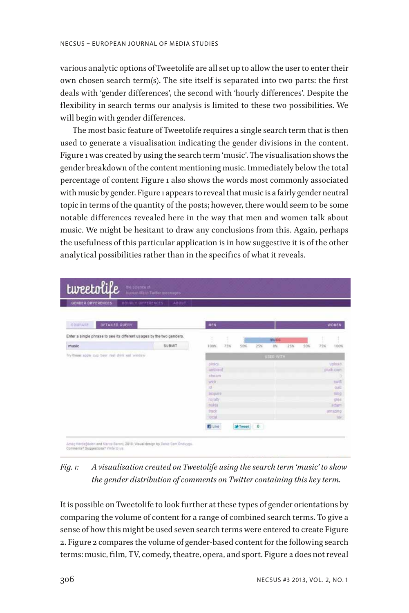various analytic options of Tweetolife are all set up to allow the user to enter their own chosen search term(s). The site itself is separated into two parts: the first deals with 'gender differences', the second with 'hourly differences'. Despite the flexibility in search terms our analysis is limited to these two possibilities. We will begin with gender differences.

The most basic feature of Tweetolife requires a single search term that is then used to generate a visualisation indicating the gender divisions in the content. Figure 1 was created by using the search term 'music'. The visualisation shows the gender breakdown of the content mentioning music. Immediately below the total percentage of content Figure 1 also shows the words most commonly associated with music by gender. Figure 1 appears to reveal that music is a fairly gender neutral topic in terms of the quantity of the posts; however, there would seem to be some notable differences revealed here in the way that men and women talk about music. We might be hesitant to draw any conclusions from this. Again, perhaps the usefulness of this particular application is in how suggestive it is of the other analytical possibilities rather than in the specifics of what it reveals.

| tweetolile<br><b>GENDER DIFFERENCES</b><br>HOURLY DIFFERENCES                  | hutran are in Tweler meenages<br>ABOUT |                             |          |                                                               |     |             |     |              |               |                                  |
|--------------------------------------------------------------------------------|----------------------------------------|-----------------------------|----------|---------------------------------------------------------------|-----|-------------|-----|--------------|---------------|----------------------------------|
| <b>DETAILED QUERY</b><br>COMPARE                                               |                                        | MEN                         |          |                                                               |     |             |     | <b>WOMEN</b> |               |                                  |
| Enter a single phrase to see its different usages by the two genders.<br>music | SUBMIT                                 | č<br>100%                   | ŧ<br>75% | 5 DNG                                                         | 25% | music<br>ON | 25% | 50%          | 75%           | 100%                             |
| Try these apple oug beer real draw eat window                                  |                                        | <b>LISED WITH</b>           |          |                                                               |     |             |     |              |               |                                  |
|                                                                                |                                        | piracy<br>ambled<br>stream  |          |                                                               |     |             |     |              |               | upload<br>pluik.com              |
|                                                                                |                                        | web<br>id.                  |          |                                                               |     |             |     |              | nwift<br>quiz |                                  |
|                                                                                |                                        | acquire<br>rovatty<br>nolda |          |                                                               |     |             |     |              |               | sing<br>100 <sub>E</sub><br>adam |
|                                                                                |                                        | frack<br>local              |          |                                                               |     |             |     |              |               | arnazing<br>ltty                 |
|                                                                                |                                        | El Like                     |          | $\blacktriangleright$ Tweet $\begin{bmatrix} 0 \end{bmatrix}$ |     |             |     |              |               |                                  |

*Fig. 1: A visualisation created on Tweetolife using the search term 'music' to show the gender distribution of comments on Twitter containing this key term.*

It is possible on Tweetolife to look further at these types of gender orientations by comparing the volume of content for a range of combined search terms. To give a sense of how this might be used seven search terms were entered to create Figure 2. Figure 2 compares the volume of gender-based content for the following search terms: music, film, TV, comedy, theatre, opera, and sport. Figure 2 does not reveal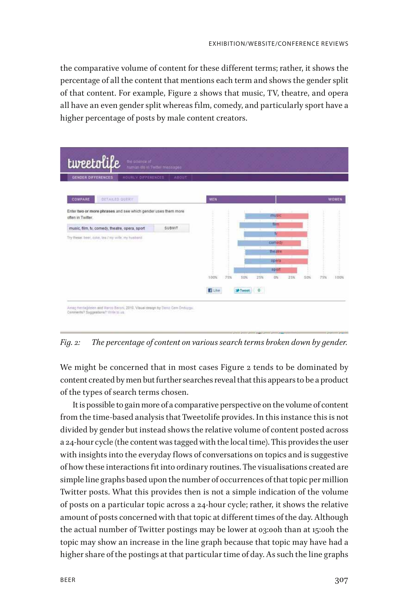the comparative volume of content for these different terms; rather, it shows the percentage of all the content that mentions each term and shows the gender split of that content. For example, Figure 2 shows that music, TV, theatre, and opera all have an even gender split whereas film, comedy, and particularly sport have a higher percentage of posts by male content creators.



*Fig. 2: The percentage of content on various search terms broken down by gender.*

We might be concerned that in most cases Figure 2 tends to be dominated by content created by men but further searches reveal that this appears to be a product of the types of search terms chosen.

It is possible to gain more of a comparative perspective on the volume of content from the time-based analysis that Tweetolife provides. In this instance this is not divided by gender but instead shows the relative volume of content posted across a 24-hour cycle (the content was tagged with the local time). This provides the user with insights into the everyday flows of conversations on topics and is suggestive of how these interactions fit into ordinary routines. The visualisations created are simple line graphs based upon the number of occurrences of that topic per million Twitter posts. What this provides then is not a simple indication of the volume of posts on a particular topic across a 24-hour cycle; rather, it shows the relative amount of posts concerned with that topic at different times of the day. Although the actual number of Twitter postings may be lower at 03:00h than at 15:00h the topic may show an increase in the line graph because that topic may have had a higher share of the postings at that particular time of day. As such the line graphs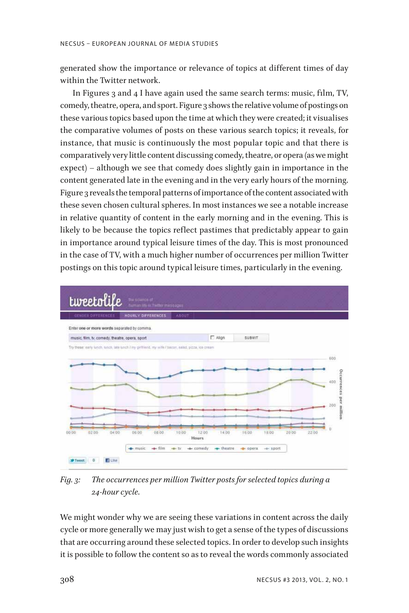generated show the importance or relevance of topics at different times of day within the Twitter network.

In Figures 3 and 4 I have again used the same search terms: music, film, TV, comedy, theatre, opera, and sport. Figure 3 shows the relative volume of postings on these various topics based upon the time at which they were created; it visualises the comparative volumes of posts on these various search topics; it reveals, for instance, that music is continuously the most popular topic and that there is comparatively very little content discussing comedy, theatre, or opera (as we might expect) – although we see that comedy does slightly gain in importance in the content generated late in the evening and in the very early hours of the morning. Figure 3 reveals the temporal patterns of importance of the content associated with these seven chosen cultural spheres. In most instances we see a notable increase in relative quantity of content in the early morning and in the evening. This is likely to be because the topics reflect pastimes that predictably appear to gain in importance around typical leisure times of the day. This is most pronounced in the case of TV, with a much higher number of occurrences per million Twitter postings on this topic around typical leisure times, particularly in the evening.



*Fig. 3: The occurrences per million Twitter posts for selected topics during a 24-hour cycle.*

We might wonder why we are seeing these variations in content across the daily cycle or more generally we may just wish to get a sense of the types of discussions that are occurring around these selected topics. In order to develop such insights it is possible to follow the content so as to reveal the words commonly associated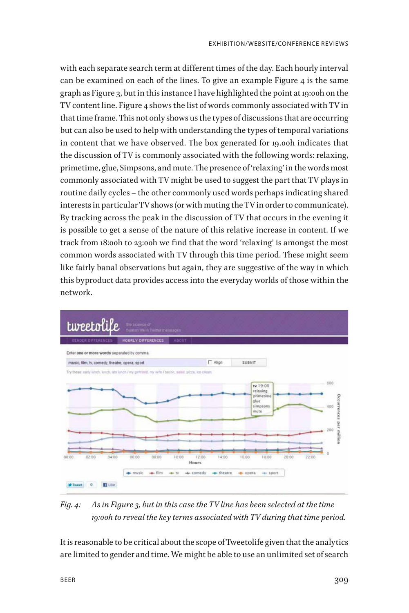with each separate search term at different times of the day. Each hourly interval can be examined on each of the lines. To give an example Figure 4 is the same graph as Figure 3, but in this instance I have highlighted the point at 19:00h on the TV content line. Figure 4 shows the list of words commonly associated with TV in that time frame. This not only shows us the types of discussions that are occurring but can also be used to help with understanding the types of temporal variations in content that we have observed. The box generated for 19.00h indicates that the discussion of TV is commonly associated with the following words: relaxing, primetime, glue, Simpsons, and mute. The presence of 'relaxing' in the words most commonly associated with TV might be used to suggest the part that TV plays in routine daily cycles – the other commonly used words perhaps indicating shared interests in particular TV shows (or with muting the TV in order to communicate). By tracking across the peak in the discussion of TV that occurs in the evening it is possible to get a sense of the nature of this relative increase in content. If we track from 18:00h to 23:00h we find that the word 'relaxing' is amongst the most common words associated with TV through this time period. These might seem like fairly banal observations but again, they are suggestive of the way in which this byproduct data provides access into the everyday worlds of those within the network.



*Fig. 4: As in Figure 3, but in this case the TV line has been selected at the time 19:00h to reveal the key terms associated with TV during that time period.*

It is reasonable to be critical about the scope of Tweetolife given that the analytics are limited to gender and time. We might be able to use an unlimited set of search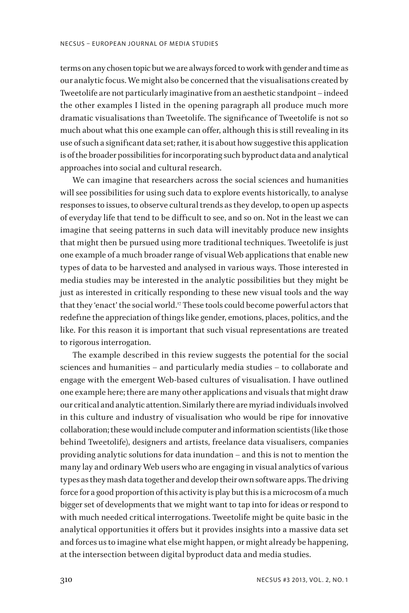terms on any chosen topic but we are always forced to work with gender and time as our analytic focus. We might also be concerned that the visualisations created by Tweetolife are not particularly imaginative from an aesthetic standpoint – indeed the other examples I listed in the opening paragraph all produce much more dramatic visualisations than Tweetolife. The significance of Tweetolife is not so much about what this one example can offer, although this is still revealing in its use of such a significant data set; rather, it is about how suggestive this application is of the broader possibilities for incorporating such byproduct data and analytical approaches into social and cultural research.

We can imagine that researchers across the social sciences and humanities will see possibilities for using such data to explore events historically, to analyse responses to issues, to observe cultural trends as they develop, to open up aspects of everyday life that tend to be difficult to see, and so on. Not in the least we can imagine that seeing patterns in such data will inevitably produce new insights that might then be pursued using more traditional techniques. Tweetolife is just one example of a much broader range of visual Web applications that enable new types of data to be harvested and analysed in various ways. Those interested in media studies may be interested in the analytic possibilities but they might be just as interested in critically responding to these new visual tools and the way that they 'enact' the social world.<sup>17</sup> These tools could become powerful actors that redefine the appreciation of things like gender, emotions, places, politics, and the like. For this reason it is important that such visual representations are treated to rigorous interrogation.

The example described in this review suggests the potential for the social sciences and humanities – and particularly media studies – to collaborate and engage with the emergent Web-based cultures of visualisation. I have outlined one example here; there are many other applications and visuals that might draw our critical and analytic attention. Similarly there are myriad individuals involved in this culture and industry of visualisation who would be ripe for innovative collaboration; these would include computer and information scientists (like those behind Tweetolife), designers and artists, freelance data visualisers, companies providing analytic solutions for data inundation – and this is not to mention the many lay and ordinary Web users who are engaging in visual analytics of various types as they mash data together and develop their own software apps. The driving force for a good proportion of this activity is play but this is a microcosm of a much bigger set of developments that we might want to tap into for ideas or respond to with much needed critical interrogations. Tweetolife might be quite basic in the analytical opportunities it offers but it provides insights into a massive data set and forces us to imagine what else might happen, or might already be happening, at the intersection between digital byproduct data and media studies.